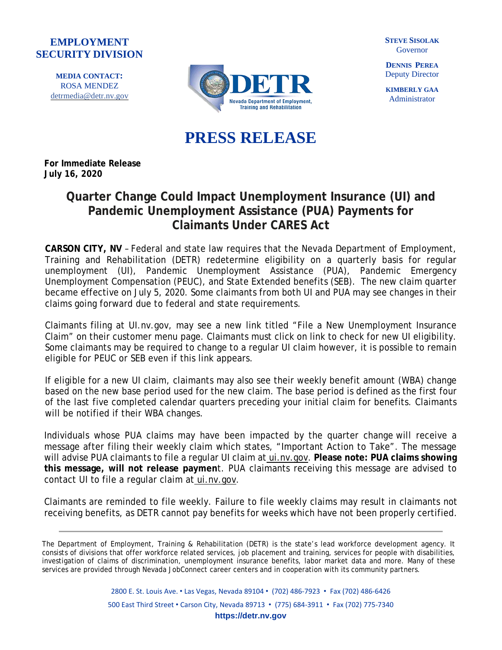## **EMPLOYMENT SECURITY DIVISION**

**MEDIA CONTACT:** ROSA MENDEZ [detrmedia@detr.nv.gov](mailto:detrmedia@detr.nv.gov)



**STEVE SISOLAK** Governor

**DENNIS PEREA** Deputy Director

**KIMBERLY GAA** Administrator

## **PRESS RELEASE**

**For Immediate Release July 16, 2020**

## **Quarter Change Could Impact Unemployment Insurance (UI) and Pandemic Unemployment Assistance (PUA) Payments for Claimants Under CARES Act**

**CARSON CITY, NV** – Federal and state law requires that the Nevada Department of Employment, Training and Rehabilitation (DETR) redetermine eligibility on a quarterly basis for regular unemployment (UI), Pandemic Unemployment Assistance (PUA), Pandemic Emergency Unemployment Compensation (PEUC), and State Extended benefits (SEB). The new claim quarter became effective on July 5, 2020. Some claimants from both UI and PUA may see changes in their claims going forward due to federal and state requirements.

Claimants filing at UI.nv.gov, may see a new link titled "File a New Unemployment Insurance Claim" on their customer menu page. Claimants must click on link to check for new UI eligibility. Some claimants may be required to change to a regular UI claim however, it is possible to remain eligible for PEUC or SEB even if this link appears.

If eligible for a new UI claim, claimants may also see their weekly benefit amount (WBA) change based on the new base period used for the new claim. The base period is defined as the first four of the last five completed calendar quarters preceding your initial claim for benefits. Claimants will be notified if their WBA changes.

Individuals whose PUA claims may have been impacted by the quarter change will receive a message after filing their weekly claim which states, "Important Action to Take". The message will advise PUA claimants to file a regular UI claim at [ui.nv.gov.](http://ui.nv.gov/css.html) **Please note: PUA claims showing this message, will not release paymen**t. PUA claimants receiving this message are advised to contact UI to file a regular claim at [ui.nv.gov.](http://ui.nv.gov/css.html)

Claimants are reminded to file weekly. Failure to file weekly claims may result in claimants not receiving benefits, as DETR cannot pay benefits for weeks which have not been properly certified.

The Department of Employment, Training & Rehabilitation (DETR) is the state's lead workforce development agency. It consists of divisions that offer workforce related services, job placement and training, services for people with disabilities, investigation of claims of discrimination, unemployment insurance benefits, labor market data and more. Many of these services are provided through Nevada JobConnect career centers and in cooperation with its community partners.